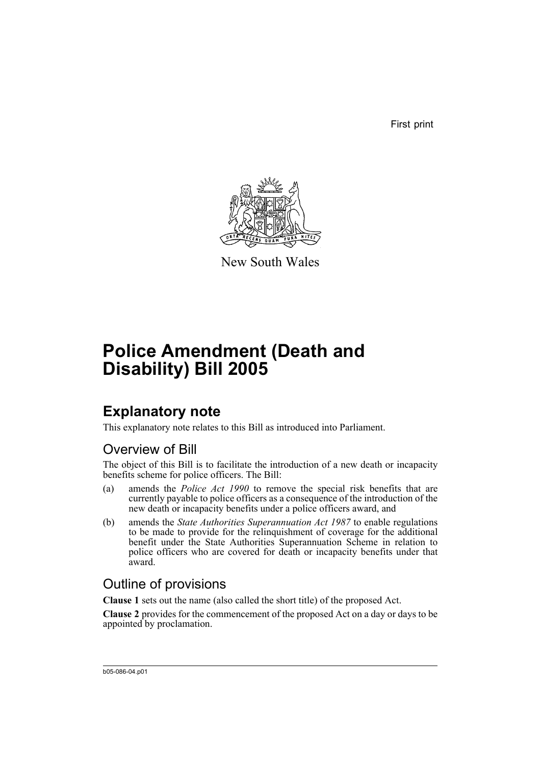First print



New South Wales

# **Police Amendment (Death and Disability) Bill 2005**

# **Explanatory note**

This explanatory note relates to this Bill as introduced into Parliament.

# Overview of Bill

The object of this Bill is to facilitate the introduction of a new death or incapacity benefits scheme for police officers. The Bill:

- (a) amends the *Police Act 1990* to remove the special risk benefits that are currently payable to police officers as a consequence of the introduction of the new death or incapacity benefits under a police officers award, and
- (b) amends the *State Authorities Superannuation Act 1987* to enable regulations to be made to provide for the relinquishment of coverage for the additional benefit under the State Authorities Superannuation Scheme in relation to police officers who are covered for death or incapacity benefits under that award.

# Outline of provisions

**Clause 1** sets out the name (also called the short title) of the proposed Act.

**Clause 2** provides for the commencement of the proposed Act on a day or days to be appointed by proclamation.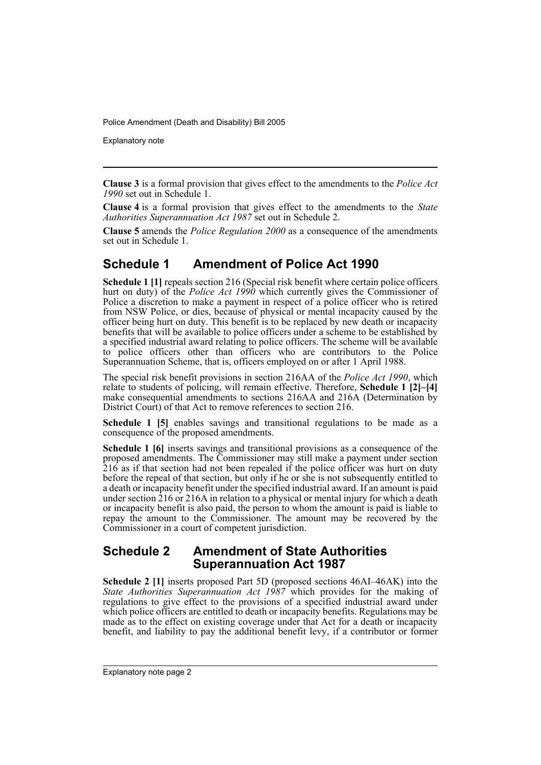Explanatory note

**Clause 3** is a formal provision that gives effect to the amendments to the *Police Act 1990* set out in Schedule 1.

**Clause 4** is a formal provision that gives effect to the amendments to the *State Authorities Superannuation Act 1987* set out in Schedule 2.

**Clause 5** amends the *Police Regulation 2000* as a consequence of the amendments set out in Schedule 1.

# **Schedule 1 Amendment of Police Act 1990**

**Schedule 1 [1]** repeals section 216 (Special risk benefit where certain police officers hurt on duty) of the *Police Act 1990* which currently gives the Commissioner of Police a discretion to make a payment in respect of a police officer who is retired from NSW Police, or dies, because of physical or mental incapacity caused by the officer being hurt on duty. This benefit is to be replaced by new death or incapacity benefits that will be available to police officers under a scheme to be established by a specified industrial award relating to police officers. The scheme will be available to police officers other than officers who are contributors to the Police Superannuation Scheme, that is, officers employed on or after 1 April 1988.

The special risk benefit provisions in section 216AA of the *Police Act 1990*, which relate to students of policing, will remain effective. Therefore, **Schedule 1 [2]–[4]** make consequential amendments to sections 216AA and 216A (Determination by District Court) of that Act to remove references to section 216.

**Schedule 1 [5]** enables savings and transitional regulations to be made as a consequence of the proposed amendments.

**Schedule 1 [6]** inserts savings and transitional provisions as a consequence of the proposed amendments. The Commissioner may still make a payment under section  $216$  as if that section had not been repealed if the police officer was hurt on duty before the repeal of that section, but only if he or she is not subsequently entitled to a death or incapacity benefit under the specified industrial award. If an amount is paid under section 216 or 216A in relation to a physical or mental injury for which a death or incapacity benefit is also paid, the person to whom the amount is paid is liable to repay the amount to the Commissioner. The amount may be recovered by the Commissioner in a court of competent jurisdiction.

## **Schedule 2 Amendment of State Authorities Superannuation Act 1987**

**Schedule 2 [1]** inserts proposed Part 5D (proposed sections 46AI–46AK) into the *State Authorities Superannuation Act 1987* which provides for the making of regulations to give effect to the provisions of a specified industrial award under which police officers are entitled to death or incapacity benefits. Regulations may be made as to the effect on existing coverage under that Act for a death or incapacity benefit, and liability to pay the additional benefit levy, if a contributor or former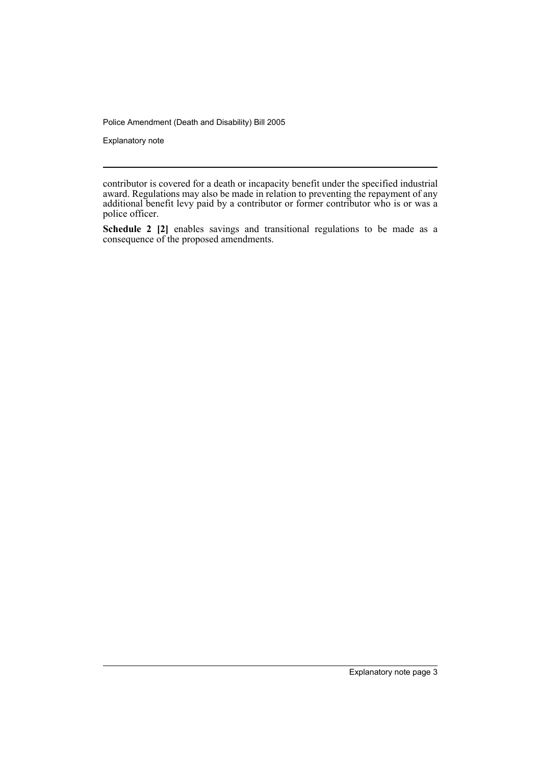Explanatory note

**Schedule 2 [2]** enables savings and transitional regulations to be made as a consequence of the proposed amendments.

contributor is covered for a death or incapacity benefit under the specified industrial award. Regulations may also be made in relation to preventing the repayment of any additional benefit levy paid by a contributor or former contributor who is or was a police officer.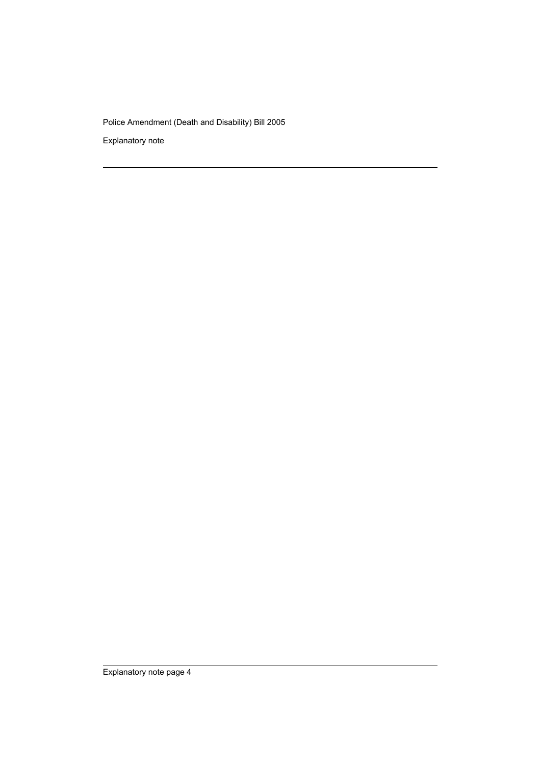Explanatory note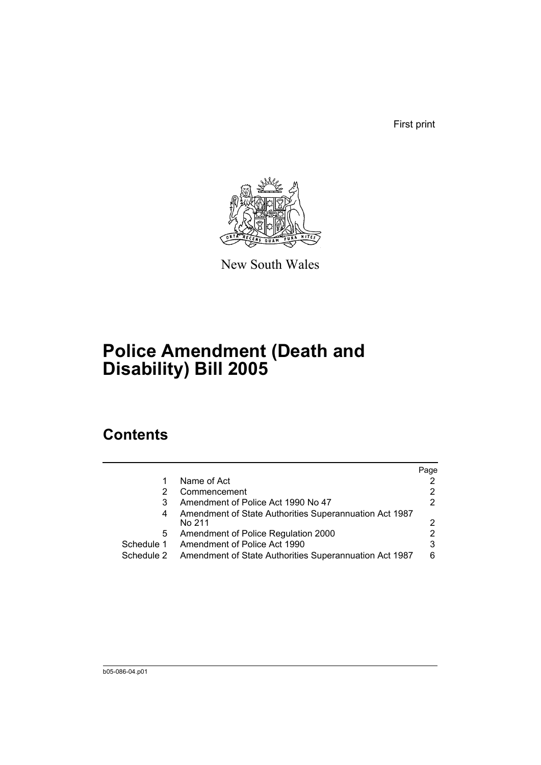First print



New South Wales

# **Police Amendment (Death and Disability) Bill 2005**

# **Contents**

|                                                                  | Page |
|------------------------------------------------------------------|------|
| Name of Act                                                      |      |
| Commencement                                                     |      |
| Amendment of Police Act 1990 No 47                               |      |
| Amendment of State Authorities Superannuation Act 1987<br>No 211 | 2    |
| Amendment of Police Regulation 2000                              |      |
| Amendment of Police Act 1990                                     | 3    |
| Amendment of State Authorities Superannuation Act 1987           | 6    |
|                                                                  |      |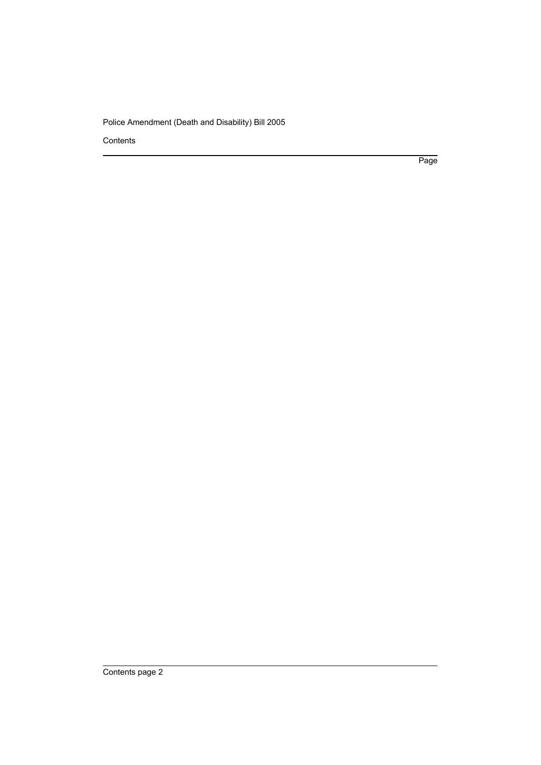Contents

Page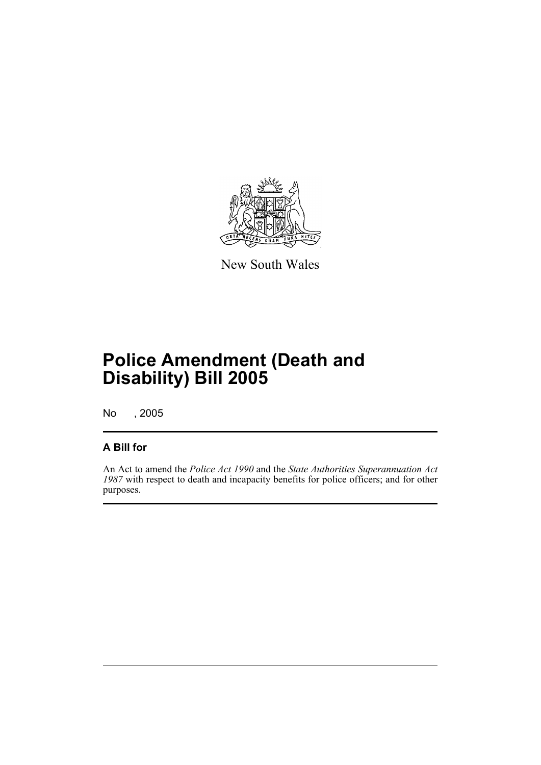

New South Wales

# **Police Amendment (Death and Disability) Bill 2005**

No , 2005

## **A Bill for**

An Act to amend the *Police Act 1990* and the *State Authorities Superannuation Act 1987* with respect to death and incapacity benefits for police officers; and for other purposes.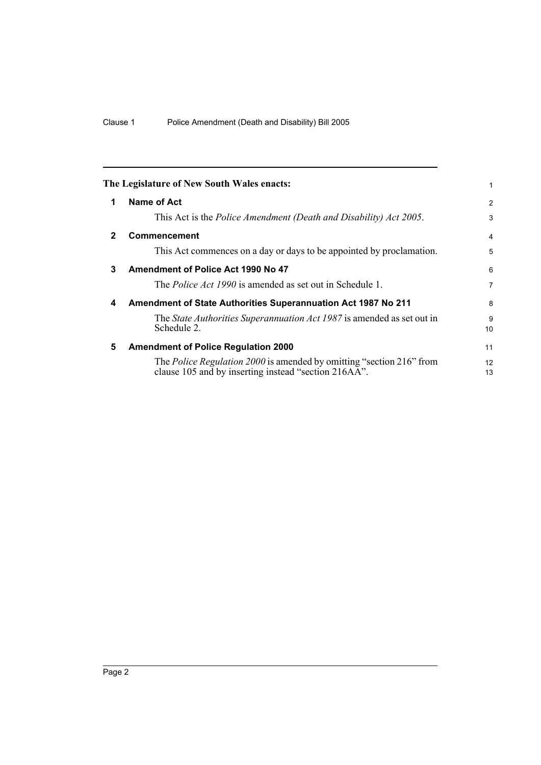<span id="page-7-4"></span><span id="page-7-3"></span><span id="page-7-2"></span><span id="page-7-1"></span><span id="page-7-0"></span>

|              | The Legislature of New South Wales enacts:                                                                                          | 1              |
|--------------|-------------------------------------------------------------------------------------------------------------------------------------|----------------|
| 1            | Name of Act                                                                                                                         | $\overline{2}$ |
|              | This Act is the <i>Police Amendment (Death and Disability) Act 2005</i> .                                                           | 3              |
| $\mathbf{2}$ | <b>Commencement</b>                                                                                                                 | 4              |
|              | This Act commences on a day or days to be appointed by proclamation.                                                                | 5              |
| 3            | <b>Amendment of Police Act 1990 No 47</b>                                                                                           | 6              |
|              | The <i>Police Act 1990</i> is amended as set out in Schedule 1.                                                                     | $\overline{7}$ |
| 4            | <b>Amendment of State Authorities Superannuation Act 1987 No 211</b>                                                                | 8              |
|              | The <i>State Authorities Superannuation Act 1987</i> is amended as set out in<br>Schedule 2.                                        | 9<br>10        |
| 5            | <b>Amendment of Police Regulation 2000</b>                                                                                          | 11             |
|              | The <i>Police Regulation 2000</i> is amended by omitting "section 216" from<br>clause 105 and by inserting instead "section 216AA". | 12<br>13       |
|              |                                                                                                                                     |                |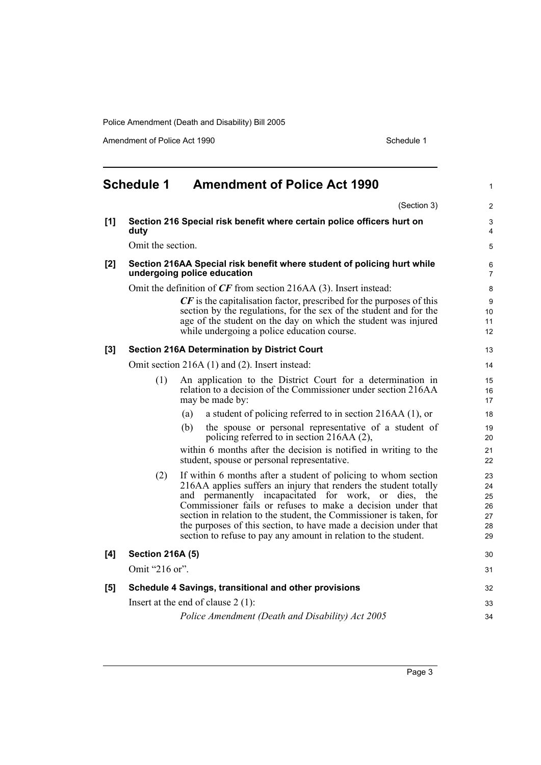Amendment of Police Act 1990 Schedule 1

<span id="page-8-0"></span>

|       | <b>Schedule 1</b>       | <b>Amendment of Police Act 1990</b>                                                                                                                                                                                                                                                                                                                                                                                                                                    | $\mathbf{1}$                           |
|-------|-------------------------|------------------------------------------------------------------------------------------------------------------------------------------------------------------------------------------------------------------------------------------------------------------------------------------------------------------------------------------------------------------------------------------------------------------------------------------------------------------------|----------------------------------------|
|       |                         | (Section 3)                                                                                                                                                                                                                                                                                                                                                                                                                                                            | 2                                      |
| [1]   | duty                    | Section 216 Special risk benefit where certain police officers hurt on                                                                                                                                                                                                                                                                                                                                                                                                 | 3<br>$\overline{4}$                    |
|       | Omit the section.       |                                                                                                                                                                                                                                                                                                                                                                                                                                                                        | 5                                      |
| [2]   |                         | Section 216AA Special risk benefit where student of policing hurt while<br>undergoing police education                                                                                                                                                                                                                                                                                                                                                                 | 6<br>$\overline{7}$                    |
|       |                         | Omit the definition of $CF$ from section 216AA (3). Insert instead:                                                                                                                                                                                                                                                                                                                                                                                                    | 8                                      |
|       |                         | $CF$ is the capitalisation factor, prescribed for the purposes of this<br>section by the regulations, for the sex of the student and for the<br>age of the student on the day on which the student was injured<br>while undergoing a police education course.                                                                                                                                                                                                          | 9<br>10<br>11<br>12                    |
| $[3]$ |                         | <b>Section 216A Determination by District Court</b>                                                                                                                                                                                                                                                                                                                                                                                                                    | 13                                     |
|       |                         | Omit section 216A (1) and (2). Insert instead:                                                                                                                                                                                                                                                                                                                                                                                                                         | 14                                     |
|       | (1)                     | An application to the District Court for a determination in<br>relation to a decision of the Commissioner under section 216AA<br>may be made by:                                                                                                                                                                                                                                                                                                                       | 15<br>16<br>17                         |
|       |                         | a student of policing referred to in section 216AA (1), or<br>(a)                                                                                                                                                                                                                                                                                                                                                                                                      | 18                                     |
|       |                         | the spouse or personal representative of a student of<br>(b)<br>policing referred to in section 216AA (2),                                                                                                                                                                                                                                                                                                                                                             | 19<br>20                               |
|       |                         | within 6 months after the decision is notified in writing to the<br>student, spouse or personal representative.                                                                                                                                                                                                                                                                                                                                                        | 21<br>22                               |
|       | (2)                     | If within 6 months after a student of policing to whom section<br>216AA applies suffers an injury that renders the student totally<br>and permanently incapacitated for work, or dies, the<br>Commissioner fails or refuses to make a decision under that<br>section in relation to the student, the Commissioner is taken, for<br>the purposes of this section, to have made a decision under that<br>section to refuse to pay any amount in relation to the student. | 23<br>24<br>25<br>26<br>27<br>28<br>29 |
| [4]   | <b>Section 216A (5)</b> |                                                                                                                                                                                                                                                                                                                                                                                                                                                                        | 30                                     |
|       | Omit "216 or".          |                                                                                                                                                                                                                                                                                                                                                                                                                                                                        |                                        |
| [5]   |                         | Schedule 4 Savings, transitional and other provisions                                                                                                                                                                                                                                                                                                                                                                                                                  | 32                                     |
|       |                         | Insert at the end of clause $2(1)$ :                                                                                                                                                                                                                                                                                                                                                                                                                                   | 33                                     |
|       |                         | Police Amendment (Death and Disability) Act 2005                                                                                                                                                                                                                                                                                                                                                                                                                       | 34                                     |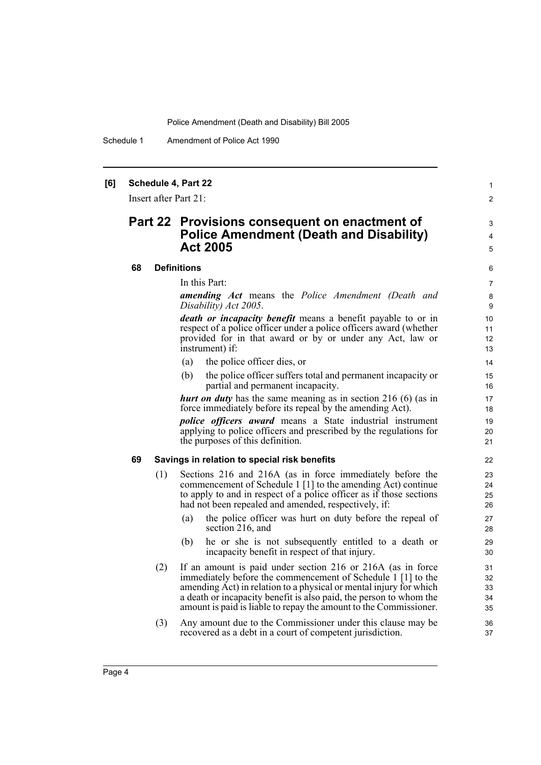Schedule 1 Amendment of Police Act 1990

#### **[6] Schedule 4, Part 22**

Insert after Part 21:

### **Part 22 Provisions consequent on enactment of Police Amendment (Death and Disability) Act 2005**

#### **68 Definitions**

6 7

1  $\mathfrak{p}$ 

3 4 5

### In this Part:

*amending Act* means the *Police Amendment (Death and Disability) Act 2005*.

*death or incapacity benefit* means a benefit payable to or in respect of a police officer under a police officers award (whether provided for in that award or by or under any Act, law or instrument) if:

- (a) the police officer dies, or
- (b) the police officer suffers total and permanent incapacity or partial and permanent incapacity.

*hurt on duty* has the same meaning as in section 216 (6) (as in force immediately before its repeal by the amending Act).

*police officers award* means a State industrial instrument applying to police officers and prescribed by the regulations for the purposes of this definition.

#### **69 Savings in relation to special risk benefits**

- (1) Sections 216 and 216A (as in force immediately before the commencement of Schedule 1 [1] to the amending Act) continue to apply to and in respect of a police officer as if those sections had not been repealed and amended, respectively, if:
	- (a) the police officer was hurt on duty before the repeal of section 216, and
	- (b) he or she is not subsequently entitled to a death or incapacity benefit in respect of that injury.
- (2) If an amount is paid under section 216 or 216A (as in force immediately before the commencement of Schedule 1 [1] to the amending Act) in relation to a physical or mental injury for which a death or incapacity benefit is also paid, the person to whom the amount is paid is liable to repay the amount to the Commissioner.
- (3) Any amount due to the Commissioner under this clause may be recovered as a debt in a court of competent jurisdiction.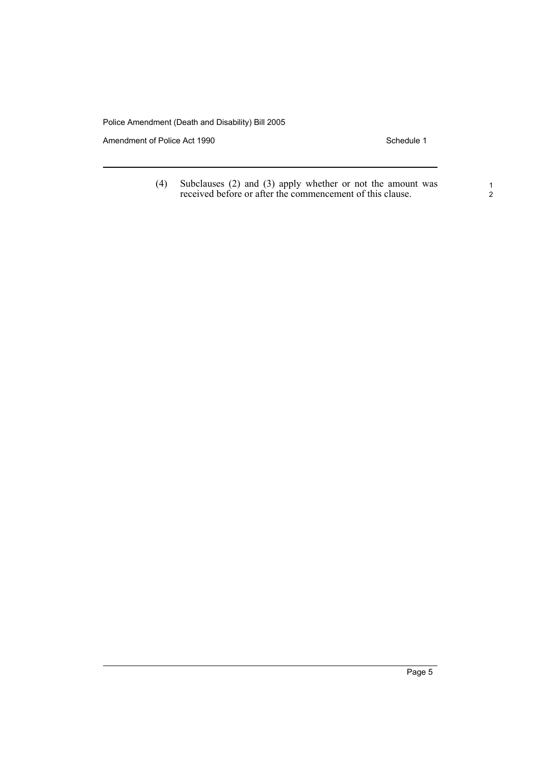Amendment of Police Act 1990 Schedule 1

(4) Subclauses (2) and (3) apply whether or not the amount was received before or after the commencement of this clause.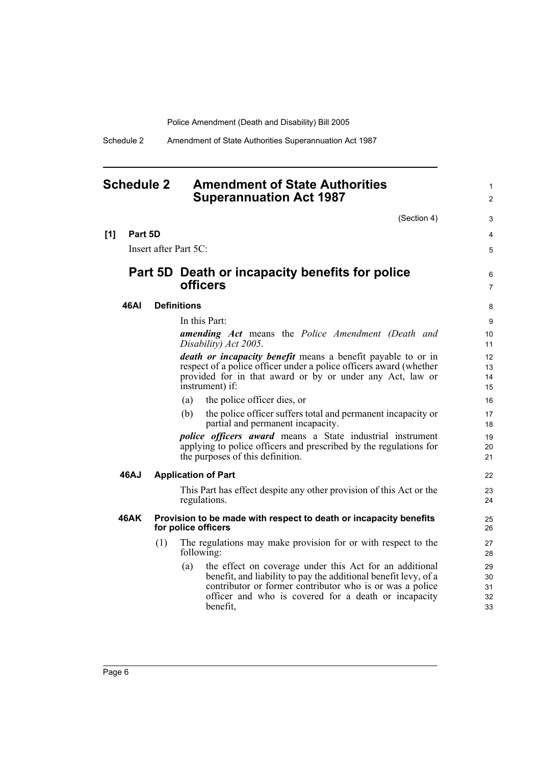Schedule 2 Amendment of State Authorities Superannuation Act 1987

## <span id="page-11-0"></span>**Schedule 2 Amendment of State Authorities Superannuation Act 1987**

| 4  |
|----|
| 5  |
|    |
| 6  |
| 7  |
| 8  |
| 9  |
| 10 |
| 11 |
| 12 |
| 13 |
| 14 |
| 15 |
| 16 |
| 17 |
| 18 |
| 19 |
| 20 |
| 21 |
| 22 |

1  $\mathfrak{p}$ 

3

# (Section 4) **[1] Part 5D** Insert after Part 5C: **Part 5D Death or incapacity benefits for police officers 46AI Definitions** In this Part: *amending Act* means the *Police Amendment (Death and Disability) Act 2005*. *death or incapacity benefit* means a benefit payable to or in respect of a police officer under a police officers award (whether provided for in that award or by or under any Act, law or instrument) if: (a) the police officer dies, or (b) the police officer suffers total and permanent incapacity or partial and permanent incapacity. *police officers award* means a State industrial instrument applying to police officers and prescribed by the regulations for the purposes of this definition. **46AJ Application of Part** This Part has effect despite any other provision of this Act or the regulations. **46AK Provision to be made with respect to death or incapacity benefits for police officers** (1) The regulations may make provision for or with respect to the following: (a) the effect on coverage under this Act for an additional benefit, and liability to pay the additional benefit levy, of a contributor or former contributor who is or was a police officer and who is covered for a death or incapacity benefit,